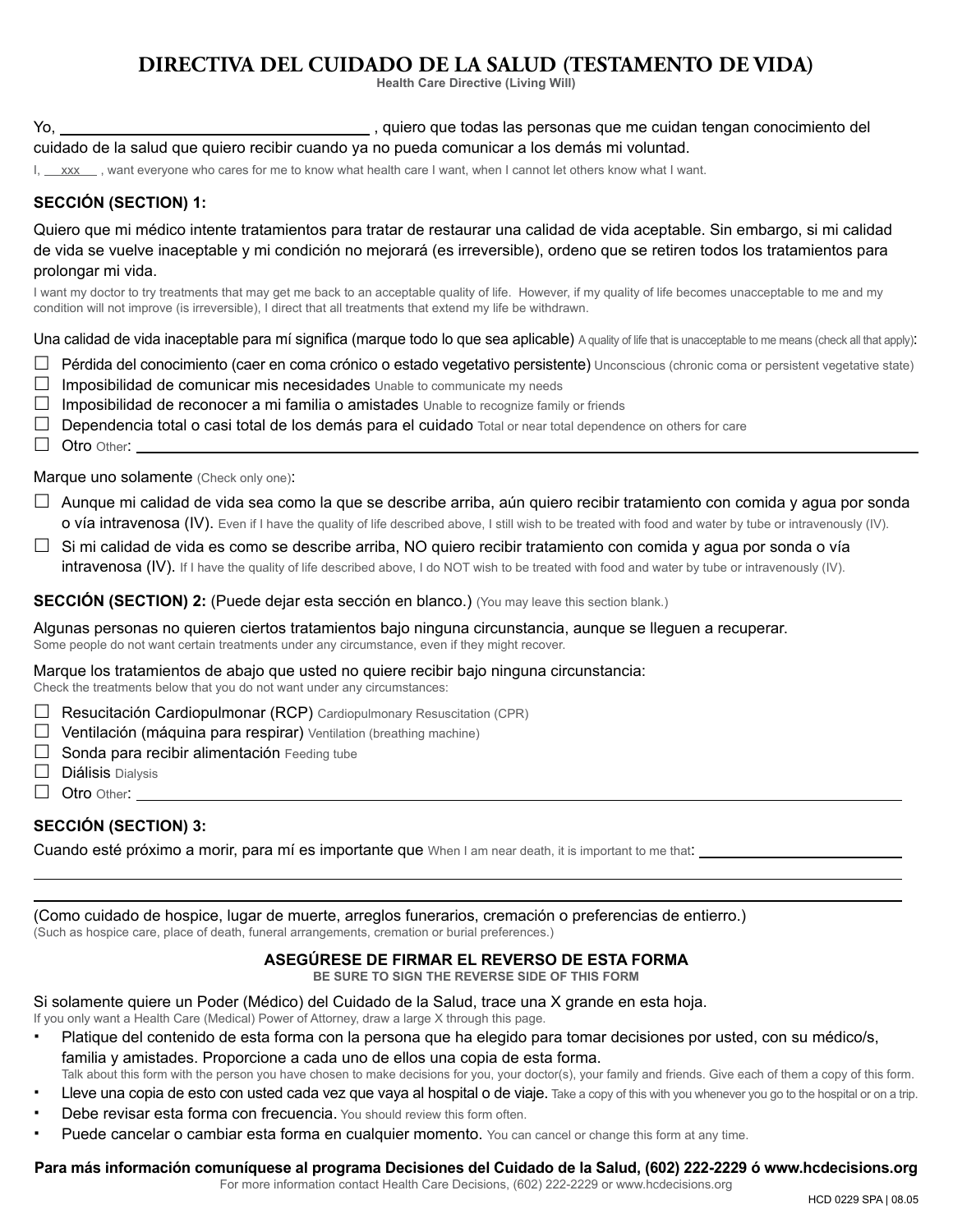# **DIRECTIVA DEL CUIDADO DE LA SALUD (TESTAMENTO DE VIDA)**

**Health Care Directive (Living Will)**

Yo, , quiero que todas las personas que me cuidan tengan conocimiento del cuidado de la salud que quiero recibir cuando ya no pueda comunicar a los demás mi voluntad.

I, xxx , want everyone who cares for me to know what health care I want, when I cannot let others know what I want.

#### **SECCIÓN (SECTION) 1:**

Quiero que mi médico intente tratamientos para tratar de restaurar una calidad de vida aceptable. Sin embargo, si mi calidad de vida se vuelve inaceptable y mi condición no mejorará (es irreversible), ordeno que se retiren todos los tratamientos para prolongar mi vida.

I want my doctor to try treatments that may get me back to an acceptable quality of life. However, if my quality of life becomes unacceptable to me and my condition will not improve (is irreversible), I direct that all treatments that extend my life be withdrawn.

Una calidad de vida inaceptable para mí significa (marque todo lo que sea aplicable) A quality of life that is unacceptable to me means (check all that apply):

- $\Box$  Pérdida del conocimiento (caer en coma crónico o estado vegetativo persistente) Unconscious (chronic coma or persistent vegetative state)
- $\Box$  Imposibilidad de comunicar mis necesidades Unable to communicate my needs
- $\Box$  Imposibilidad de reconocer a mi familia o amistades Unable to recognize family or friends
- $\Box$  Dependencia total o casi total de los demás para el cuidado Total or near total dependence on others for care
- $\Box$  Otro Other:

Marque uno solamente (Check only one):

- $\Box$  Aunque mi calidad de vida sea como la que se describe arriba, aún quiero recibir tratamiento con comida y agua por sonda **o vía intravenosa (IV).** Even if I have the quality of life described above, I still wish to be treated with food and water by tube or intravenously (IV).
- $\Box$  Si mi calidad de vida es como se describe arriba, NO quiero recibir tratamiento con comida y agua por sonda o vía intravenosa (IV). If I have the quality of life described above, I do NOT wish to be treated with food and water by tube or intravenously (IV).

**SECCIÓN (SECTION) 2:** (Puede dejar esta sección en blanco.) (You may leave this section blank.)

Algunas personas no quieren ciertos tratamientos bajo ninguna circunstancia, aunque se lleguen a recuperar. Some people do not want certain treatments under any circumstance, even if they might recover.

Marque los tratamientos de abajo que usted no quiere recibir bajo ninguna circunstancia:

Check the treatments below that you do not want under any circumstances:

- $\Box$  Resucitación Cardiopulmonar (RCP) Cardiopulmonary Resuscitation (CPR)
- $\Box$  Ventilación (máquina para respirar) Ventilation (breathing machine)
- $\Box$  Sonda para recibir alimentación Feeding tube
- $\Box$  **Diálisis** Dialysis
- $\Box$  Otro Other:

#### **SECCIÓN (SECTION) 3:**

 $\overline{a}$  $\overline{a}$ 

Cuando esté próximo a morir, para mí es importante que When I am near death, it is important to me that:

(Como cuidado de hospice, lugar de muerte, arreglos funerarios, cremación o preferencias de entierro.) (Such as hospice care, place of death, funeral arrangements, cremation or burial preferences.)

#### **ASEGÚRESE DE FIRMAR EL REVERSO DE ESTA FORMA**

**BE SURE TO SIGN THE REVERSE SIDE OF THIS FORM**

Si solamente quiere un Poder (Médico) del Cuidado de la Salud, trace una X grande en esta hoja.

If you only want a Health Care (Medical) Power of Attorney, draw a large X through this page.

- Platique del contenido de esta forma con la persona que ha elegido para tomar decisiones por usted, con su médico/s, familia y amistades. Proporcione a cada uno de ellos una copia de esta forma. Talk about this form with the person you have chosen to make decisions for you, your doctor(s), your family and friends. Give each of them a copy of this form.
- Lleve una copia de esto con usted cada vez que vaya al hospital o de viaje. Take a copy of this with you whenever you go to the hospital or on a trip.
- 
- Debe revisar esta forma con frecuencia. You should review this form often.
- Puede cancelar o cambiar esta forma en cualquier momento. You can cancel or change this form at any time.

### **Para más información comuníquese al programa Decisiones del Cuidado de la Salud, (602) 222-2229 ó www.hcdecisions.org**

For more information contact Health Care Decisions, (602) 222-2229 or www.hcdecisions.org